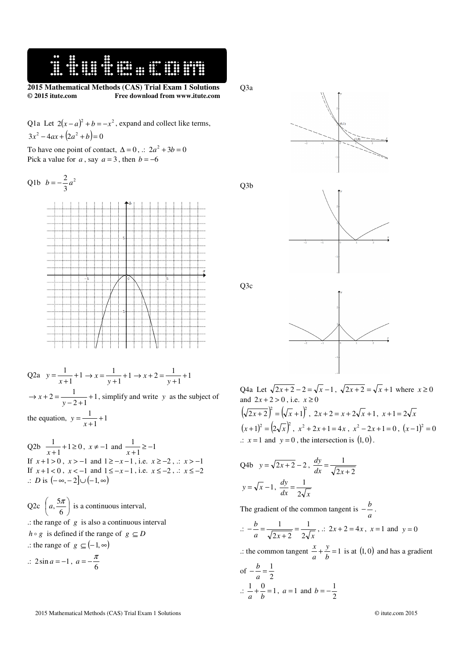**2015 Mathematical Methods (CAS) Trial Exam 1 Solutions © 2015 itute.com Free download from www.itute.com** 

Q1a Let  $2(x - a)^2 + b = -x^2$ , expand and collect like terms,  $3x^2 - 4ax + (2a^2 + b) = 0$ 

To have one point of contact,  $\Delta = 0$ ,  $\therefore 2a^2 + 3b = 0$ Pick a value for  $a$ , say  $a = 3$ , then  $b = -6$ 

 $\ddot{...}$ 

Q1b 
$$
b = -\frac{2}{3}a^2
$$

Q2a 
$$
y = \frac{1}{x+1} + 1 \to x = \frac{1}{y+1} + 1 \to x + 2 = \frac{1}{y+1} + 1
$$
  
\n $\to x + 2 = \frac{1}{y-2+1} + 1$ , simplify and write y as the subject of  
\nthe equation,  $y = \frac{1}{x+1} + 1$ 

 $Q2b \frac{1}{x+1} + 1 \ge 0$  $\frac{1}{x+1}$  + 1 ≥ 0,  $x \neq -1$  and  $\frac{1}{x+1}$  ≥ -1  $\frac{1}{x+1} \geq -$ If  $x+1>0$ ,  $x>-1$  and  $1\ge -x-1$ , i.e.  $x\ge -2$ , .:  $x>-1$ If  $x+1 < 0$ ,  $x < -1$  and  $1 \le -x-1$ , i.e.  $x \le -2$ , .:  $x \le -2$ .: *D* is  $(-\infty, -2] \cup (-1, \infty)$ 

Q2c 
$$
\left(a, \frac{5\pi}{6}\right)
$$
 is a continuous interval,  
\n $\therefore$  the range of g is also a continuous interval  
\n $h \circ g$  is defined if the range of  $g \subseteq D$   
\n $\therefore$  the range of  $g \subseteq (-1, \infty)$ 

$$
\therefore 2\sin a = -1, a = -\frac{\pi}{6}
$$

Q3a





Q3c

Q3b



Q4a Let  $\sqrt{2x+2} - 2 = \sqrt{x-1}$ ,  $\sqrt{2x+2} = \sqrt{x+1}$  where  $x \ge 0$ and  $2x + 2 > 0$ , i.e.  $x \ge 0$  $(\sqrt{2x+2})^2 = (\sqrt{x+1})^2$ ,  $2x+2 = x+2\sqrt{x+1}$ ,  $x+1 = 2\sqrt{x}$  $(x+1)^2 = (2\sqrt{x})^2$ ,  $x^2 + 2x + 1 = 4x$ ,  $x^2 - 2x + 1 = 0$ ,  $(x-1)^2 = 0$  $\therefore$  *x* = 1 and *y* = 0, the intersection is  $(1, 0)$ .

Q4b 
$$
y = \sqrt{2x + 2} - 2
$$
,  $\frac{dy}{dx} = \frac{1}{\sqrt{2x + 2}}$   
 $y = \sqrt{x} - 1$ ,  $\frac{dy}{dx} = \frac{1}{2\sqrt{x}}$ 

The gradient of the common tangent is  $-\frac{b}{a}$  $-\frac{b}{q}$ .

$$
\therefore -\frac{b}{a} = \frac{1}{\sqrt{2x+2}} = \frac{1}{2\sqrt{x}}, \therefore 2x+2 = 4x, \ x = 1 \text{ and } y = 0
$$

.: the common tangent  $\frac{x}{a} + \frac{y}{b} = 1$ *y a*  $\frac{x}{1} + \frac{y}{1} = 1$  is at (1,0) and has a gradient

of 
$$
-\frac{b}{a} = \frac{1}{2}
$$
  
\n $\therefore \frac{1}{a} + \frac{0}{b} = 1$ ,  $a = 1$  and  $b = -\frac{1}{2}$ 

2015 Mathematical Methods (CAS) Trial Exam 1 Solutions © itute.com 2015